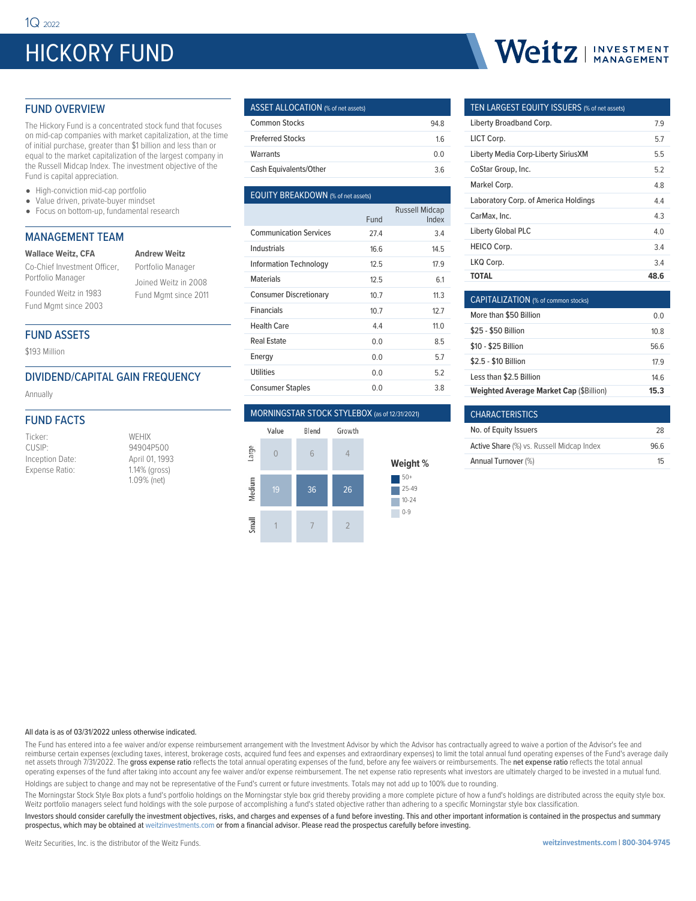# HICKORY FUND

# Weitz | INVESTMENT

## FUND OVERVIEW

The Hickory Fund is a concentrated stock fund that focuses on mid-cap companies with market capitalization, at the time of initial purchase, greater than \$1 billion and less than or equal to the market capitalization of the largest company in the Russell Midcap Index. The investment objective of the Fund is capital appreciation.

- High-conviction mid-cap portfolio
- Value driven, private-buyer mindset
- Focus on bottom-up, fundamental research

## MANAGEMENT TEAM

| <b>Wallace Weitz, CFA</b>    | <b>Andrew Weitz</b>  |  |  |  |  |  |  |
|------------------------------|----------------------|--|--|--|--|--|--|
| Co-Chief Investment Officer, | Portfolio Manager    |  |  |  |  |  |  |
| Portfolio Manager            | Joined Weitz in 2008 |  |  |  |  |  |  |
| Founded Weitz in 1983        | Fund Mgmt since 2011 |  |  |  |  |  |  |
| Fund Mgmt since 2003         |                      |  |  |  |  |  |  |

## FUND ASSETS

\$193 Million

## DIVIDEND/CAPITAL GAIN FREQUENCY

Annually

## FUND FACTS

| Ticker:         | WEHIX          |
|-----------------|----------------|
| CUSIP:          | 94904P500      |
| Inception Date: | April 01, 1993 |
| Expense Ratio:  | 1.14% (gross)  |
|                 | 1.09% (net)    |

## ASSET ALLOCATION (% of net assets) Common Stocks 94.8 Preferred Stocks 1.6

| Warrants               | 0 O |
|------------------------|-----|
| Cash Equivalents/Other | 36  |

## EQUITY BREAKDOWN (% of net assets)

|                               |      | <b>Russell Midcap</b> |
|-------------------------------|------|-----------------------|
|                               | Fund | Index                 |
| <b>Communication Services</b> | 27.4 | 3.4                   |
| Industrials                   | 16.6 | 14.5                  |
| <b>Information Technology</b> | 12.5 | 17.9                  |
| <b>Materials</b>              | 12.5 | 6.1                   |
| <b>Consumer Discretionary</b> | 10.7 | 11.3                  |
| <b>Financials</b>             | 10.7 | 12.7                  |
| Health Care                   | 4.4  | 11.0                  |
| Real Estate                   | 0.0  | 8.5                   |
| Energy                        | 0.0  | 5.7                   |
| <b>Utilities</b>              | 0.0  | 5.2                   |
| <b>Consumer Staples</b>       | 0.0  | 3.8                   |

### MORNINGSTAR STOCK STYLEBOX (as of 12/31/2021)



## TEN LARGEST EQUITY ISSUERS (% of net assets)

| Liberty Broadband Corp.                    | 7.9  |
|--------------------------------------------|------|
| LICT Corp.                                 | 5.7  |
| <b>Liberty Media Corp-Liberty SiriusXM</b> | 5.5  |
| CoStar Group, Inc.                         | 52   |
| Markel Corp.                               | 4.8  |
| Laboratory Corp. of America Holdings       | 4.4  |
| CarMax. Inc.                               | 4.3  |
| <b>Liberty Global PLC</b>                  | 4.0  |
| <b>HEICO Corp.</b>                         | 34   |
| LKQ Corp.                                  | 34   |
| TOTAL                                      | 48.6 |

| CAPITALIZATION (% of common stocks)            |      |
|------------------------------------------------|------|
| More than \$50 Billion                         | 0 O  |
| \$25 - \$50 Billion                            | 10.8 |
| \$10 - \$25 Billion                            | 56 6 |
| \$2.5 - \$10 Billion                           | 179  |
| Less than \$2.5 Billion                        | 146  |
| <b>Weighted Average Market Cap (\$Billion)</b> | 15.3 |

| <b>CHARACTERISTICS</b>                           |      |
|--------------------------------------------------|------|
| No. of Equity Issuers                            | 28   |
| <b>Active Share (%) vs. Russell Midcap Index</b> | 96.6 |
| Annual Turnover (%)                              | 15   |

#### All data is as of 03/31/2022 unless otherwise indicated.

The Fund has entered into a fee waiver and/or expense reimbursement arrangement with the Investment Advisor by which the Advisor has contractually agreed to waive a portion of the Advisor's fee and reimburse certain expenses (excluding taxes, interest, brokerage costs, acquired fund fees and expenses and extraordinary expenses) to limit the total annual fund operating expenses of the Fund's average daily net assets through 7/31/2022. The gross expense ratio reflects the total annual operating expenses of the fund, before any fee waivers or reimbursements. The net expense ratio reflects the total annual operating expenses of the fund after taking into account any fee waiver and/or expense reimbursement. The net expense ratio represents what investors are ultimately charged to be invested in a mutual fund. Holdings are subject to change and may not be representative of the Fund's current or future investments. Totals may not add up to 100% due to rounding.

The Morningstar Stock Style Box plots a fund's portfolio holdings on the Morningstar style box grid thereby providing a more complete picture of how a fund's holdings are distributed across the equity style box. Weitz portfolio managers select fund holdings with the sole purpose of accomplishing a fund's stated objective rather than adhering to a specific Morningstar style box classification.

Investors should consider carefully the investment objectives, risks, and charges and expenses of a fund before investing. This and other important information is contained in the prospectus and summary prospectus, which may be obtained at weitzinvestments.com or from a financial advisor. Please read the prospectus carefully before investing.